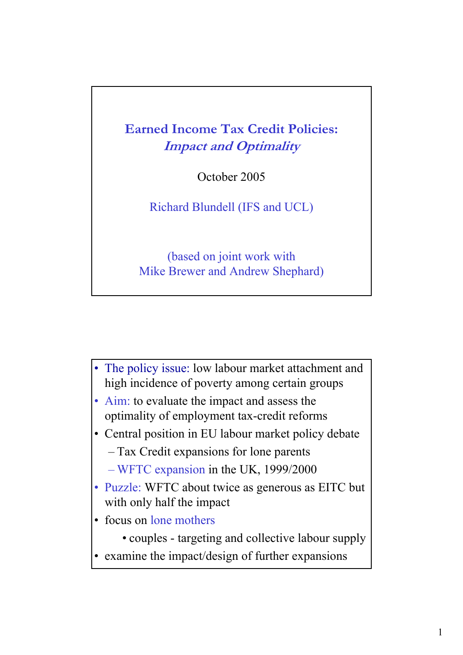**Earned Income Tax Credit Policies: Impact and Optimality** 

October 2005

Richard Blundell (IFS and UCL)

(based on joint work with Mike Brewer and Andrew Shephard)

- The policy issue: low labour market attachment and high incidence of poverty among certain groups
- Aim: to evaluate the impact and assess the optimality of employment tax-credit reforms
- Central position in EU labour market policy debate
	- Tax Credit expansions for lone parents
	- WFTC expansion in the UK, 1999/2000
- Puzzle: WFTC about twice as generous as EITC but with only half the impact
- focus on lone mothers
	- couples targeting and collective labour supply
- examine the impact/design of further expansions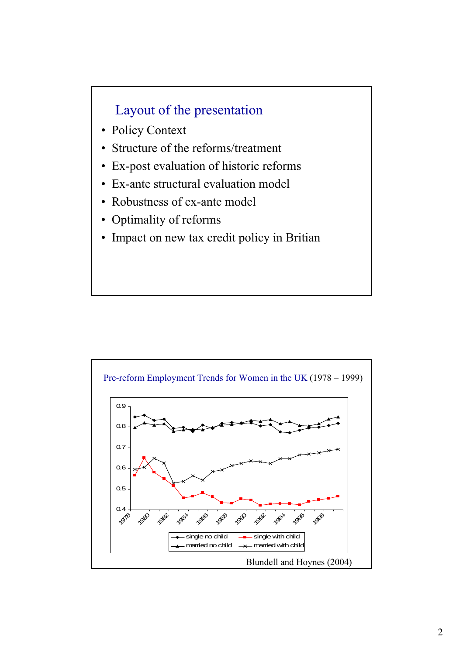## Layout of the presentation

- Policy Context
- Structure of the reforms/treatment
- Ex-post evaluation of historic reforms
- Ex-ante structural evaluation model
- Robustness of ex-ante model
- Optimality of reforms
- Impact on new tax credit policy in Britian

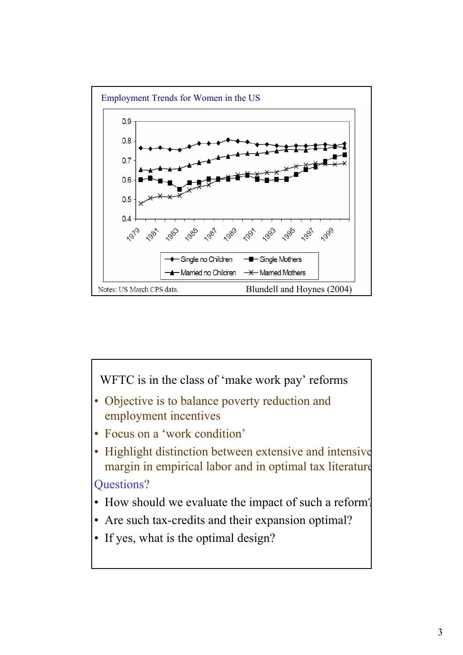

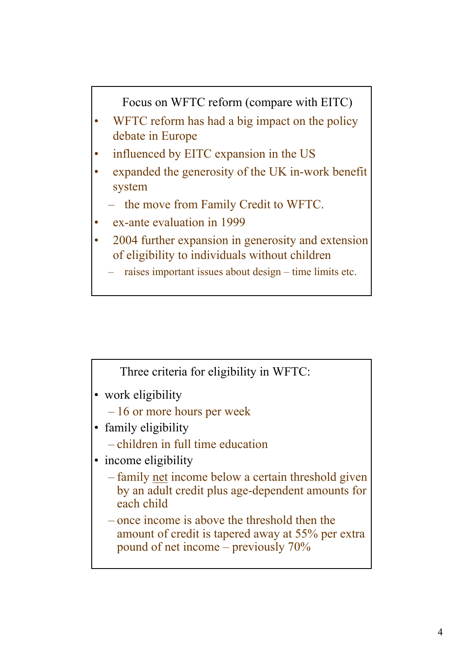Focus on WFTC reform (compare with EITC)

- WFTC reform has had a big impact on the policy debate in Europe
- influenced by EITC expansion in the US
- expanded the generosity of the UK in-work benefit system
	- the move from Family Credit to WFTC.
- ex-ante evaluation in 1999
- 2004 further expansion in generosity and extension of eligibility to individuals without children
	- raises important issues about design time limits etc.

Three criteria for eligibility in WFTC:

- work eligibility
	- 16 or more hours per week
- family eligibility
	- children in full time education
- income eligibility
	- family net income below a certain threshold given by an adult credit plus age-dependent amounts for each child
	- once income is above the threshold then the amount of credit is tapered away at 55% per extra pound of net income – previously 70%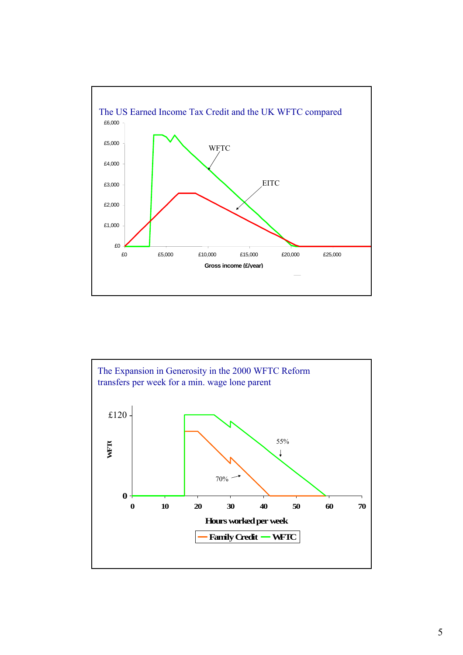

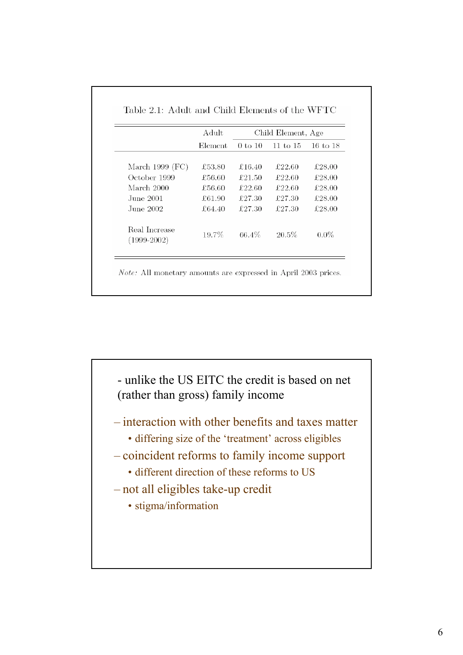|                                | Adult   |             | Child Element, Age  |                     |
|--------------------------------|---------|-------------|---------------------|---------------------|
|                                | Element | $0$ to $10$ | $11 \text{ to } 15$ | $16 \text{ to } 18$ |
| March 1999 $(FC)$              | £53.80  | £16.40      | £22.60              | £28.00              |
| October 1999                   | £56.60  | £21.50      | £22.60              | £28.00              |
| March 2000                     | £56.60  | £22.60      | £22.60              | £28.00              |
| June 2001.                     | £61.90  | £27.30      | £27.30              | £28.00              |
| June 2002.                     | £64.40  | £27.30      | £27.30              | £28.00              |
| Real Increase<br>$(1999-2002)$ | 19.7%   | 66.4%       | 20.5%               | $0.0\%$             |

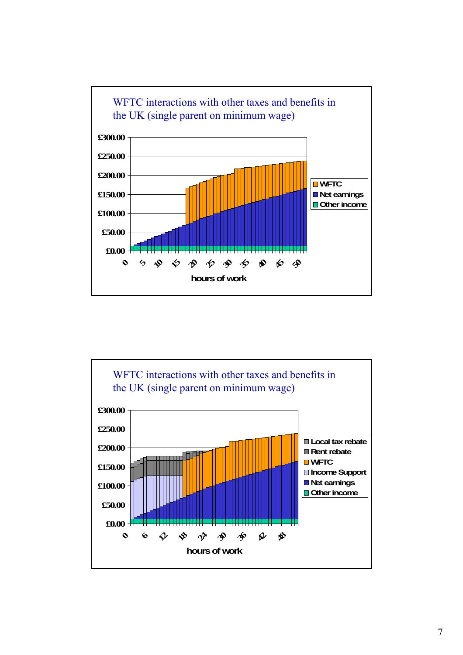

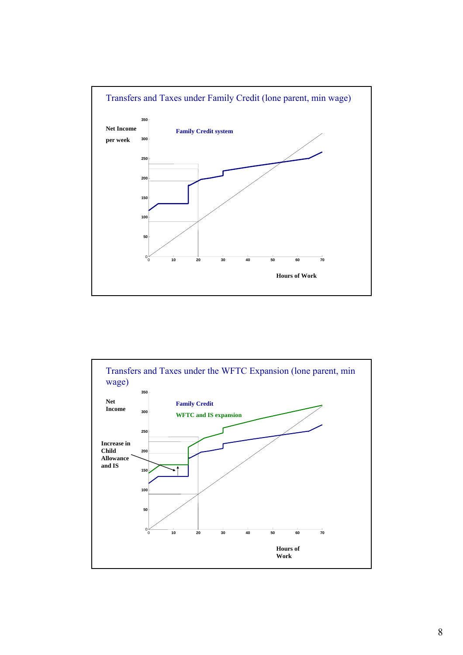

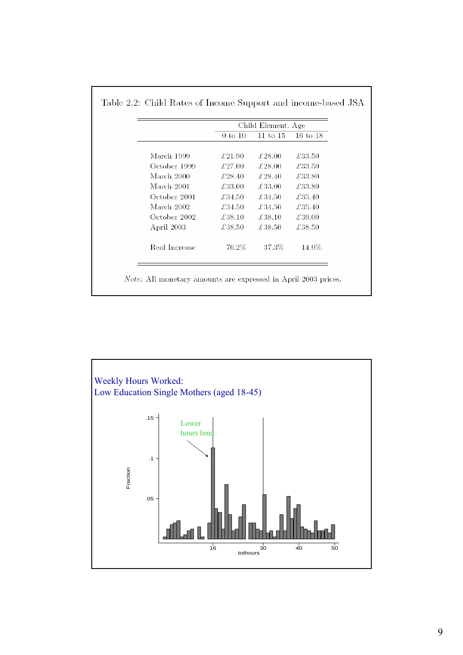|               |             | Child Element, Age |          |
|---------------|-------------|--------------------|----------|
|               | $0$ to $10$ | $11$ to $15$       | 16 to 18 |
| March 1999    | £21.90      | £28.00             | £33.50   |
| October 1999  | £27.00      | £28.00             | £33.50   |
| March 2000    | £28.40      | £28.40             | £33.80   |
| March 2001    | £33.00      | £33.00             | £33.80   |
| October 2001  | £34.50      | £34.50             | £35.40   |
| March 2002    | £34.50      | £34.50             | £35.40   |
| October 2002  | £38.10      | £38.10             | £39.00   |
| April 2003    | £38.50      | £38.50             | £38.50   |
| Real Increase | 76.2%       | 37.3%              | 14.9%    |
|               |             |                    |          |



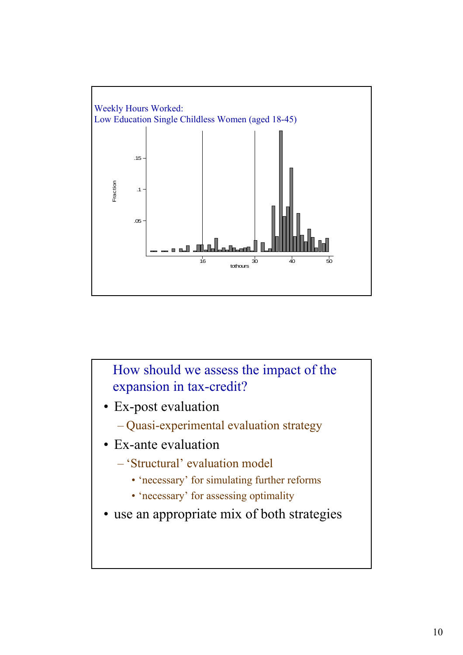

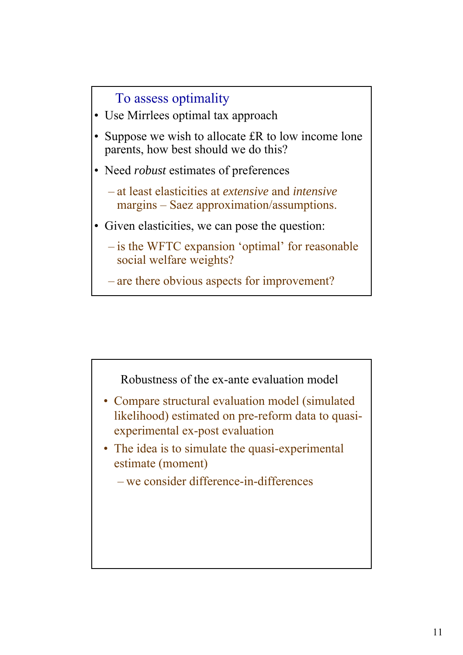

- Use Mirrlees optimal tax approach
- Suppose we wish to allocate £R to low income lone parents, how best should we do this?
- Need *robust* estimates of preferences
	- at least elasticities at *extensive* and *intensive* margins – Saez approximation/assumptions.
- Given elasticities, we can pose the question:
	- is the WFTC expansion 'optimal' for reasonable social welfare weights?
	- are there obvious aspects for improvement?

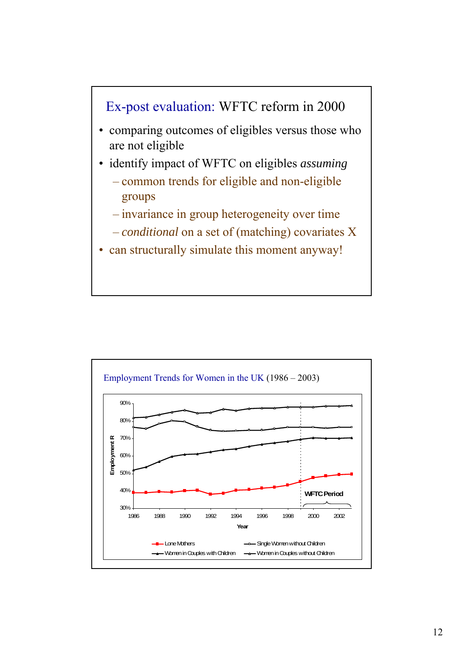

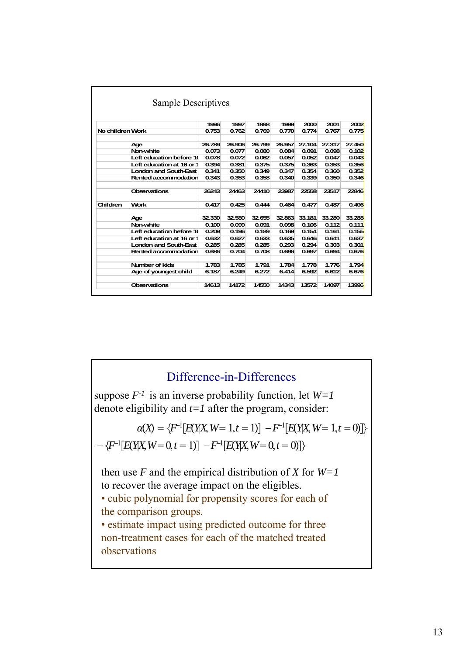|                  |                              | 1996   | 1997   | 1998   | 1999   | 2000   | 2001   | 2002   |
|------------------|------------------------------|--------|--------|--------|--------|--------|--------|--------|
| No children Work |                              | 0.753  | 0.762  | 0.769  | 0.770  | 0.774  | 0.767  | 0.775  |
|                  | Age                          | 26.789 | 26,906 | 26.799 | 26.957 | 27.104 | 27.317 | 27.450 |
|                  | Non-white                    | 0.073  | 0.077  | 0.080  | 0.084  | 0.091  | 0.098  | 0.102  |
|                  | Left education before 1      | 0.078  | 0.072  | 0.062  | 0.057  | 0.052  | 0.047  | 0.043  |
|                  | Left education at 16 or 1    | 0.394  | 0.381  | 0.375  | 0.375  | 0.363  | 0.353  | 0.356  |
|                  | <b>London and South-East</b> | 0.341  | 0.350  | 0.349  | 0.347  | 0.354  | 0.360  | 0.352  |
|                  | Rented accommodation         | 0.343  | 0.353  | 0.358  | 0.340  | 0.339  | 0.350  | 0.346  |
|                  | <b>Observations</b>          | 26243  | 24463  | 24410  | 23987  | 22558  | 23517  | 22846  |
| Children         | <b>Work</b>                  | 0.417  | 0.425  | 0.444  | 0.464  | 0.477  | 0.487  | 0.496  |
|                  | Age                          | 32.330 | 32.580 | 32.655 | 32.863 | 33.181 | 33.280 | 33.288 |
|                  | Non-white                    | 0.100  | 0.099  | 0.091  | 0.098  | 0.106  | 0.112  | 0.111  |
|                  | Left education before 1      | 0.209  | 0.196  | 0.189  | 0.169  | 0.154  | 0.161  | 0.155  |
|                  | Left education at 16 or 1    | 0.632  | 0.627  | 0.633  | 0.635  | 0.646  | 0.641  | 0.637  |
|                  | <b>London and South-East</b> | 0.285  | 0.285  | 0.285  | 0.293  | 0.294  | 0.303  | 0.301  |
|                  | Rented accommodation         | 0.686  | 0.704  | 0.708  | 0.696  | 0.697  | 0.694  | 0.676  |
|                  | Number of kids               | 1.783  | 1.785  | 1.791  | 1.784  | 1.778  | 1.776  | 1.794  |
|                  | Age of youngest child        | 6.187  | 6.249  | 6.272  | 6.414  | 6.592  | 6.612  | 6.676  |
|                  | <b>Observations</b>          | 14613  | 14172  | 14550  | 14343  | 13572  | 14097  | 13996  |

### Difference-in-Differences

suppose *F-1* is an inverse probability function, let *W=1*  denote eligibility and  $t=1$  after the program, consider:

$$
\alpha(X) = \{F^{-1}[E(Y|X, W=1, t=1)] - F^{-1}[E(Y|X, W=1, t=0)]\}
$$

$$
-\{F^{-1}[E(Y|X, W=0, t=1)] - F^{-1}[E(Y|X, W=0, t=0)]\}
$$

then use  $F$  and the empirical distribution of  $X$  for  $W=1$ to recover the average impact on the eligibles.

• cubic polynomial for propensity scores for each of the comparison groups.

• estimate impact using predicted outcome for three non-treatment cases for each of the matched treated observations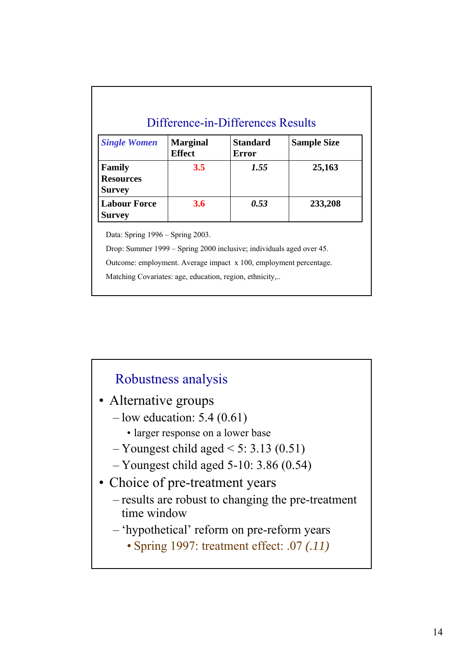| <b>Single Women</b>                         | <b>Marginal</b><br><b>Effect</b> | Standard<br>Error | <b>Sample Size</b> |
|---------------------------------------------|----------------------------------|-------------------|--------------------|
| Family<br><b>Resources</b><br><b>Survey</b> | 3.5                              | 1.55              | 25,163             |
| <b>Labour Force</b><br><b>Survey</b>        | 3.6                              | 0.53              | 233,208            |

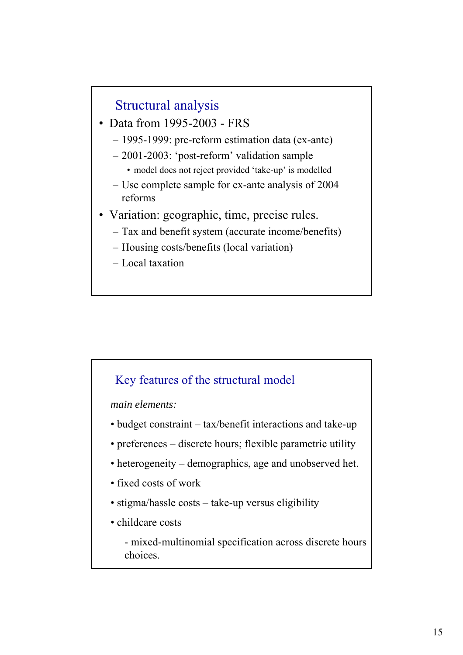## Structural analysis

- Data from 1995-2003 FRS
	- 1995-1999: pre-reform estimation data (ex-ante)
	- 2001-2003: 'post-reform' validation sample
		- model does not reject provided 'take-up' is modelled
	- Use complete sample for ex-ante analysis of 2004 reforms
- Variation: geographic, time, precise rules.
	- Tax and benefit system (accurate income/benefits)
	- Housing costs/benefits (local variation)
	- Local taxation

### Key features of the structural model

*main elements:*

- budget constraint tax/benefit interactions and take-up
- preferences discrete hours; flexible parametric utility
- heterogeneity demographics, age and unobserved het.
- fixed costs of work
- stigma/hassle costs take-up versus eligibility
- childcare costs
	- mixed-multinomial specification across discrete hours choices.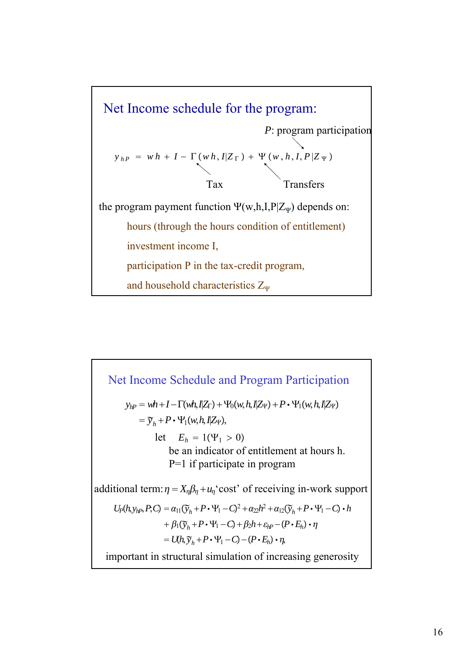

 $y_{hP} = wh + I - \Gamma(wh, IZ_{\Gamma}) + \Psi_0(w, h, IZ_{\Psi}) + P \cdot \Psi_1(w, h, IZ_{\Psi})$  $=\widetilde{y}_h + P \cdot \Psi_1(w, h, I | Z_V),$ let  $E_h = 1(\Psi_1 > 0)$ additional term:  $\eta = X_{\eta} \beta_{\eta} + u_{\eta}$  cost' of receiving in-work support Net Income Schedule and Program Participation be an indicator of entitlement at hours h. P=1 if participate in program  $U_P(h, y_{hP}, P, C) = \alpha_{11}(\widetilde{y}_h + P \cdot \Psi_1 - C)^2 + \alpha_{22}h^2 + \alpha_{12}(\widetilde{y}_h + P \cdot \Psi_1 - C) \cdot h$  $+\beta_1(\widetilde{y}_h + P \cdot \Psi_1 - C) + \beta_2 h + \varepsilon_{hP} - (P \cdot E_h) \cdot \eta$  $= U(h, \widetilde{y}_h + P \cdot \Psi_1 - C) - (P \cdot E_h) \cdot \eta,$ important in structural simulation of increasing generosity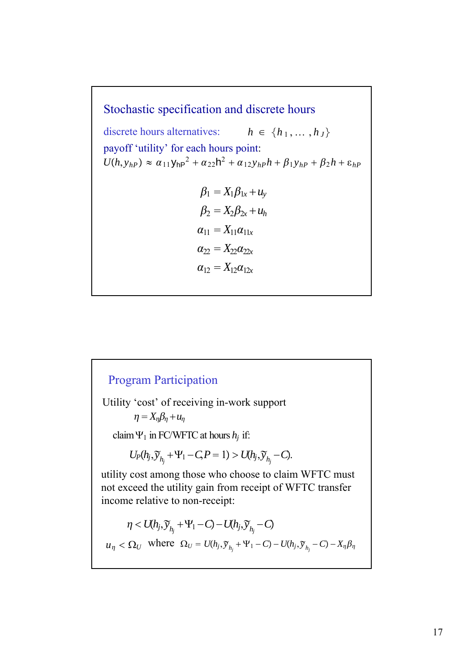$U(h, y_{hP}) \approx \alpha_{11} y_{hP}^2 + \alpha_{22} h^2 + \alpha_{12} y_{hP} h + \beta_{1} y_{hP} + \beta_{2} h + \varepsilon_{hP}$ Stochastic specification and discrete hours payoff 'utility' for each hours point:  $h \in \{h_1, \ldots, h_J\}$  $\beta_1 = X_1 \beta_{1x} + u_y$  $\beta_2 = X_2 \beta_{2x} + u_h$  $\alpha_{11} = X_{11} \alpha_{11x}$  $\alpha_{22} = X_{22}\alpha_{22x}$  $\alpha_{12} = X_{12} \alpha_{12}$ <sup>x</sup> discrete hours alternatives:

# Utility 'cost' of receiving in-work support Program Participation  $\eta = X_n \beta_n + u_n$  $U_P(h_j, \widetilde{y}_{h_j} + \Psi_1 - C, P = 1) > U(h_j, \widetilde{y}_{h_j} - C).$ claim  $\Psi_1$  in FC/WFTC at hours  $h_j$  if: *n* < *U*(*h<sub>j</sub>*, $\widetilde{y}_{h_j}$  +  $\Psi_1$  − *C*) − *U*(*h<sub>j</sub>*, $\widetilde{y}_{h_j}$  − *C*) utility cost among those who choose to claim WFTC must not exceed the utility gain from receipt of WFTC transfer income relative to non-receipt:  $u_{\eta} < \Omega_U$  where  $\Omega_U = U(h_j, \tilde{y}_{h_j} + \Psi_1 - C) - U(h_j, \tilde{y}_{h_j} - C) - X_{\eta} \beta_{\eta}$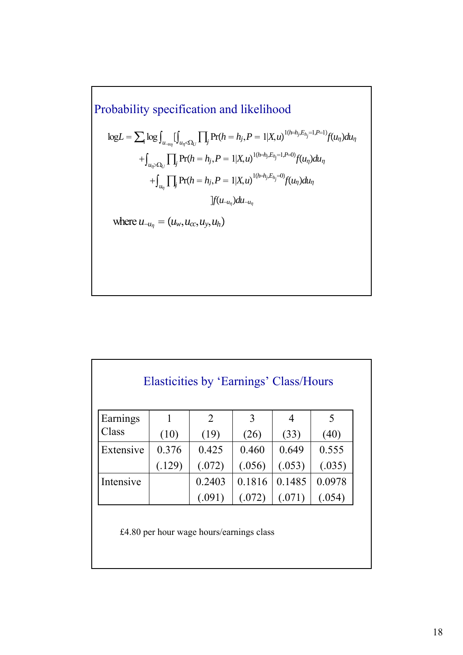Probability specification and likelihood  
\n
$$
\log L = \sum_{i} \log \int_{u_{-i\eta_{i}}} \int_{u_{\eta} < \Omega_{U}} \prod_{j} \Pr(h = h_{j}, P = 1 | X, u)^{1/(i=h_{j}, E_{h_{j}} = 1, P=1)} f(u_{\eta}) du_{\eta}
$$
\n
$$
+ \int_{u_{\eta} > \Omega_{U}} \prod_{j} \Pr(h = h_{j}, P = 1 | X, u)^{1/(i=h_{j}, E_{h_{j}} = 1, P=0)} f(u_{\eta}) du_{\eta}
$$
\n
$$
+ \int_{u_{\eta}} \prod_{j} \Pr(h = h_{j}, P = 1 | X, u)^{1/(i=h_{j}, E_{h_{j}} = 0)} f(u_{\eta}) du_{\eta}
$$
\nwhere  $u_{-u_{\eta}} = (u_{w}, u_{cc}, u_{y}, u_{h})$ 

| Elasticities by 'Earnings' Class/Hours |        |                |        |        |        |  |  |  |
|----------------------------------------|--------|----------------|--------|--------|--------|--|--|--|
| Earnings                               |        | $\overline{2}$ | 3      | 4      | 5      |  |  |  |
| Class                                  | (10)   | (19)           | (26)   | (33)   | (40)   |  |  |  |
| Extensive                              | 0.376  | 0.425          | 0.460  | 0.649  | 0.555  |  |  |  |
|                                        | (.129) | (.072)         | (.056) | (.053) | (.035) |  |  |  |
| Intensive                              |        | 0.2403         | 0.1816 | 0.1485 | 0.0978 |  |  |  |
|                                        |        | (.091)         | (.072) | (.071) | (.054) |  |  |  |

£4.80 per hour wage hours/earnings class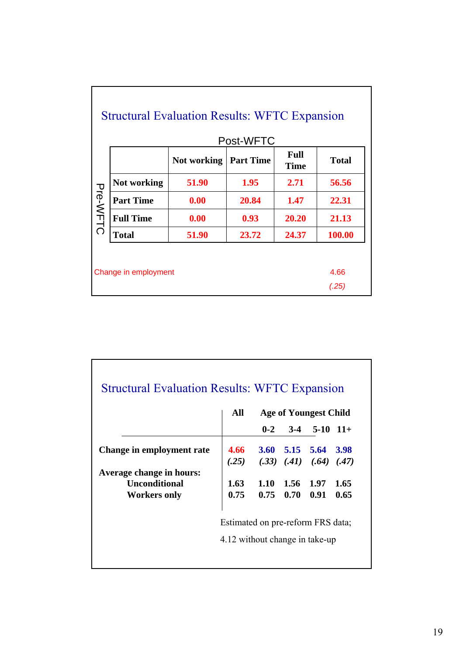|                 |                  |             | Post-WFTC        |                            |              |
|-----------------|------------------|-------------|------------------|----------------------------|--------------|
|                 |                  | Not working | <b>Part Time</b> | <b>Full</b><br><b>Time</b> | <b>Total</b> |
|                 | Not working      | 51.90       | 1.95             | 2.71                       | 56.56        |
| <b>Pre-WFTC</b> | <b>Part Time</b> | 0.00        | 20.84            | 1.47                       | 22.31        |
|                 | <b>Full Time</b> | 0.00        | 0.93             | 20.20                      | 21.13        |
|                 | <b>Total</b>     | 51.90       | 23.72            | 24.37                      | 100.00       |

|                           | All                               |         | <b>Age of Youngest Child</b> |                         |       |
|---------------------------|-----------------------------------|---------|------------------------------|-------------------------|-------|
|                           |                                   | $0 - 2$ |                              | $3-4$ 5-10 11+          |       |
| Change in employment rate | 4.66                              |         |                              | $3.60$ $5.15$ $5.64$    | 3.98  |
|                           | (.25)                             |         |                              | $(.33)$ $(.41)$ $(.64)$ | (.47) |
| Average change in hours:  |                                   |         |                              |                         |       |
| <b>Unconditional</b>      | 1.63                              | 1.10    | 1.56 1.97                    |                         | 1.65  |
| <b>Workers only</b>       | 0.75                              | 0.75    | 0.70                         | 0.91                    | 0.65  |
|                           | Estimated on pre-reform FRS data; |         |                              |                         |       |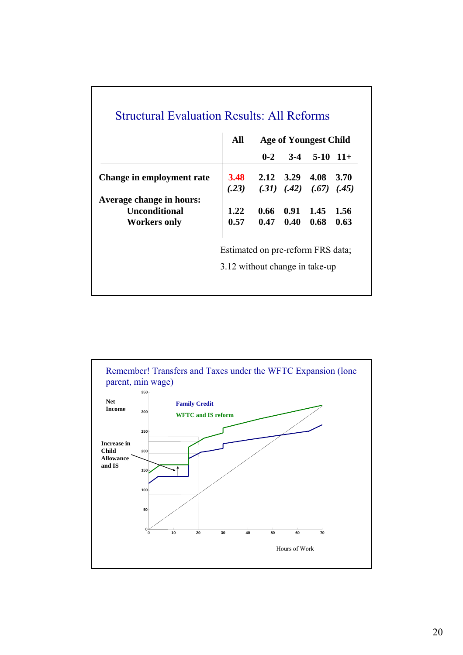|                           | All<br>Age of Youngest Child      |         |                      |                              |       |
|---------------------------|-----------------------------------|---------|----------------------|------------------------------|-------|
|                           |                                   | $0 - 2$ |                      | $3-4$ 5-10 11+               |       |
| Change in employment rate | <b>3.48</b>                       |         |                      | $2.12 \quad 3.29 \quad 4.08$ | 3.70  |
|                           | (.23)                             |         |                      | $(.31)$ $(.42)$ $(.67)$      | (.45) |
| Average change in hours:  |                                   |         |                      |                              |       |
| <b>Unconditional</b>      | 1.22                              |         | $0.66$ $0.91$ $1.45$ |                              | 1.56  |
| <b>Workers only</b>       | 0.57                              |         | $0.47 \quad 0.40$    | 0.68                         | 0.63  |
|                           | Estimated on pre-reform FRS data; |         |                      |                              |       |
|                           | 3.12 without change in take-up    |         |                      |                              |       |

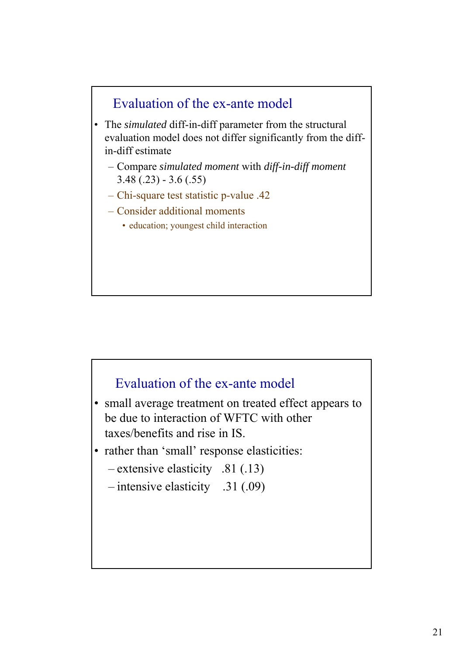

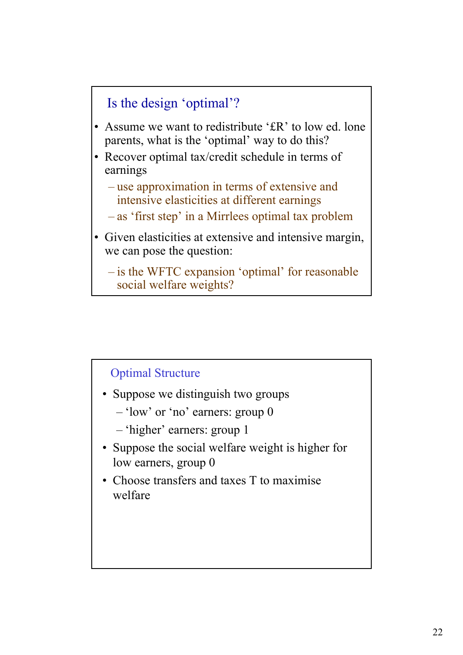

- Assume we want to redistribute '£R' to low ed. lone parents, what is the 'optimal' way to do this?
- Recover optimal tax/credit schedule in terms of earnings
	- use approximation in terms of extensive and intensive elasticities at different earnings
	- as 'first step' in a Mirrlees optimal tax problem
- Given elasticities at extensive and intensive margin, we can pose the question:

– is the WFTC expansion 'optimal' for reasonable social welfare weights?

### Optimal Structure

- Suppose we distinguish two groups
	- 'low' or 'no' earners: group 0
	- 'higher' earners: group 1
- Suppose the social welfare weight is higher for low earners, group 0
- Choose transfers and taxes T to maximise welfare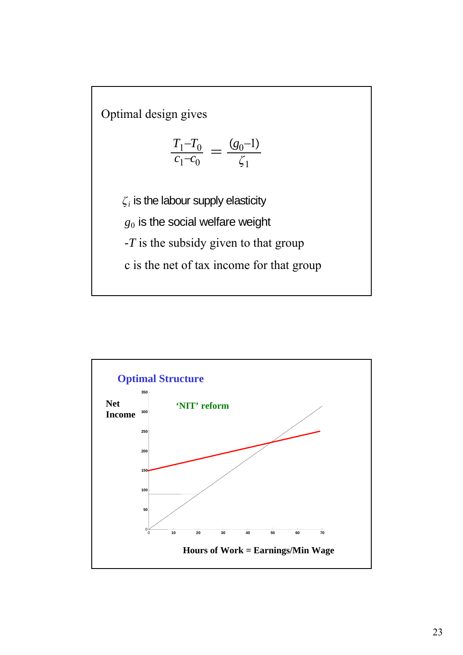Optimal design gives

$$
\frac{T_1 - T_0}{c_1 - c_0} = \frac{(g_0 - 1)}{\zeta_1}
$$

 $\zeta_i$  is the labour supply elasticity

*g*<sup>0</sup> is the social welfare weight

*-T* is the subsidy given to that group

c is the net of tax income for that group

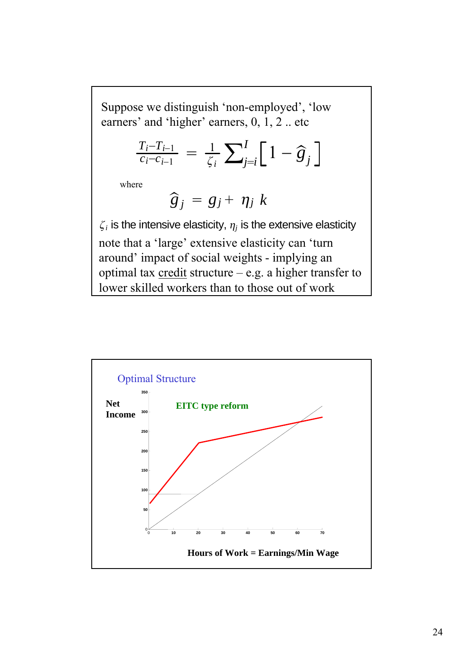Suppose we distinguish 'non-employed', 'low earners' and 'higher' earners, 0, 1, 2 .. etc

$$
\frac{T_i - T_{i-1}}{c_i - c_{i-1}} = \frac{1}{\zeta_i} \sum_{j=i}^{I} \left[ 1 - \hat{g}_j \right]
$$

where

$$
\widehat{g}_j = g_j + \eta_j \; k
$$

 $\zeta_i$  is the intensive elasticity,  $\eta_i$  is the extensive elasticity note that a 'large' extensive elasticity can 'turn around' impact of social weights - implying an optimal tax  $\frac{\text{credit}}{\text{structure}} - e.g.$  a higher transfer to lower skilled workers than to those out of work

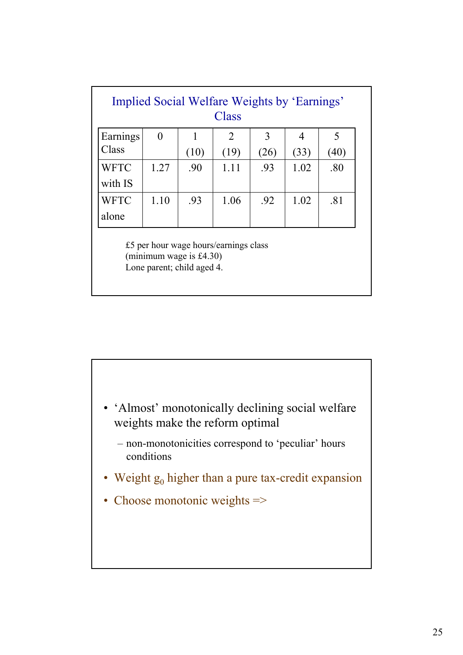| Implied Social Welfare Weights by 'Earnings'<br><b>Class</b> |      |                                                          |                                       |               |                |      |  |  |
|--------------------------------------------------------------|------|----------------------------------------------------------|---------------------------------------|---------------|----------------|------|--|--|
| Earnings                                                     | 0    |                                                          | $\overline{2}$                        | $\mathcal{E}$ | $\overline{4}$ | 5    |  |  |
| Class                                                        |      | (10)                                                     | (19)                                  | (26)          | (33)           | (40) |  |  |
| <b>WFTC</b>                                                  | 1.27 | .90                                                      | 1.11                                  | .93           | 1.02           | .80  |  |  |
| with IS                                                      |      |                                                          |                                       |               |                |      |  |  |
| <b>WFTC</b>                                                  | 1.10 | .93                                                      | 1.06                                  | .92           | 1.02           | .81  |  |  |
| alone                                                        |      |                                                          |                                       |               |                |      |  |  |
|                                                              |      | (minimum wage is $£4.30$ )<br>Lone parent; child aged 4. | £5 per hour wage hours/earnings class |               |                |      |  |  |

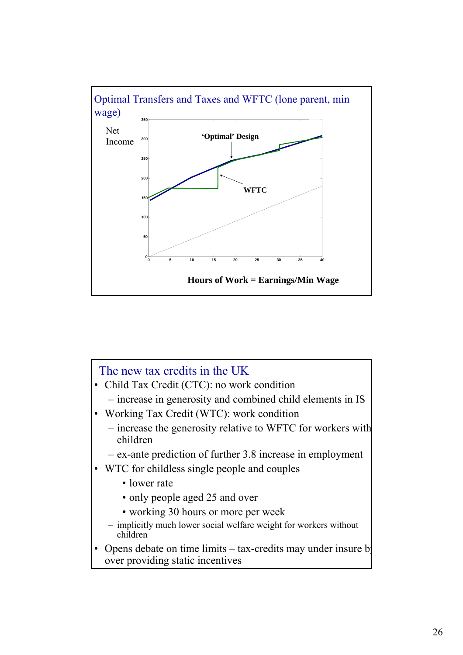

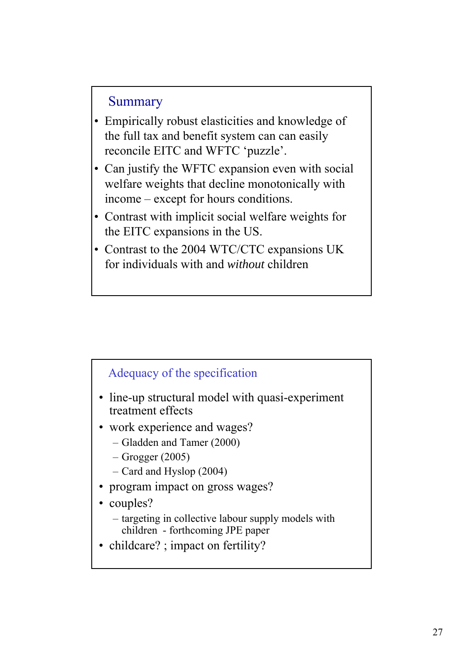### Summary

- Empirically robust elasticities and knowledge of the full tax and benefit system can can easily reconcile EITC and WFTC 'puzzle'.
- Can justify the WFTC expansion even with social welfare weights that decline monotonically with income – except for hours conditions.
- Contrast with implicit social welfare weights for the EITC expansions in the US.
- Contrast to the 2004 WTC/CTC expansions UK for individuals with and *without* children

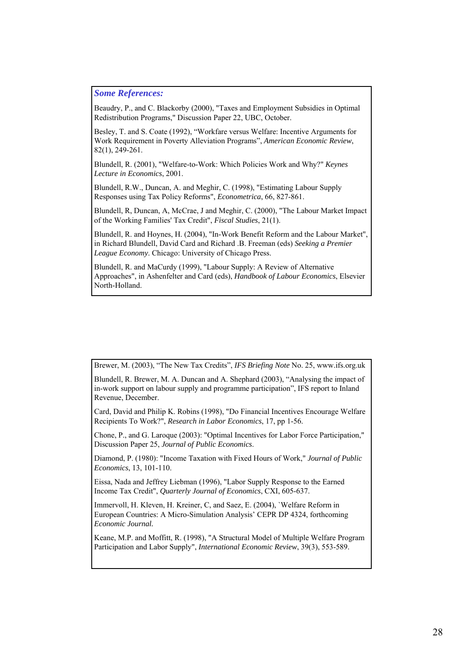#### *Some References:*

Beaudry, P., and C. Blackorby (2000), "Taxes and Employment Subsidies in Optimal Redistribution Programs," Discussion Paper 22, UBC, October.

Besley, T. and S. Coate (1992), "Workfare versus Welfare: Incentive Arguments for Work Requirement in Poverty Alleviation Programs", *American Economic Review*, 82(1), 249-261.

Blundell, R. (2001), "Welfare-to-Work: Which Policies Work and Why?" *Keynes Lecture in Economics*, 2001.

Blundell, R.W., Duncan, A. and Meghir, C. (1998), "Estimating Labour Supply Responses using Tax Policy Reforms", *Econometrica*, 66, 827-861.

Blundell, R, Duncan, A, McCrae, J and Meghir, C. (2000), "The Labour Market Impact of the Working Families' Tax Credit", *Fiscal Studies*, 21(1).

Blundell, R. and Hoynes, H. (2004), "In-Work Benefit Reform and the Labour Market", in Richard Blundell, David Card and Richard .B. Freeman (eds) *Seeking a Premier League Economy*. Chicago: University of Chicago Press.

Blundell, R. and MaCurdy (1999), "Labour Supply: A Review of Alternative Approaches", in Ashenfelter and Card (eds), *Handbook of Labour Economics*, Elsevier North-Holland.

Brewer, M. (2003), "The New Tax Credits", *IFS Briefing Note* No. 25, www.ifs.org.uk

Blundell, R. Brewer, M. A. Duncan and A. Shephard (2003), "Analysing the impact of in-work support on labour supply and programme participation", IFS report to Inland Revenue, December.

Card, David and Philip K. Robins (1998), "Do Financial Incentives Encourage Welfare Recipients To Work?", *Research in Labor Economics*, 17, pp 1-56.

Chone, P., and G. Laroque (2003): "Optimal Incentives for Labor Force Participation," Discussion Paper 25, *Journal of Public Economics*.

Diamond, P. (1980): "Income Taxation with Fixed Hours of Work," *Journal of Public Economics*, 13, 101-110.

Eissa, Nada and Jeffrey Liebman (1996), "Labor Supply Response to the Earned Income Tax Credit", *Quarterly Journal of Economics*, CXI, 605-637.

Immervoll, H. Kleven, H. Kreiner, C, and Saez, E. (2004), `Welfare Reform in European Countries: A Micro-Simulation Analysis' CEPR DP 4324, forthcoming *Economic Journal.*

Keane, M.P. and Moffitt, R. (1998), "A Structural Model of Multiple Welfare Program Participation and Labor Supply", *International Economic Review*, 39(3), 553-589.